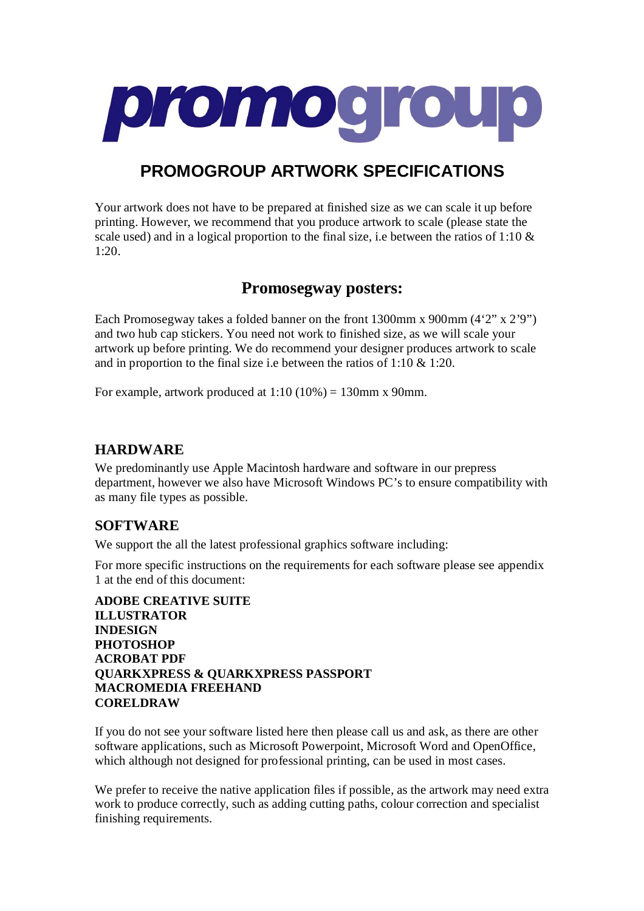

# **PROMOGROUP ARTWORK SPECIFICATIONS**

Your artwork does not have to be prepared at finished size as we can scale it up before printing. However, we recommend that you produce artwork to scale (please state the scale used) and in a logical proportion to the final size, i.e between the ratios of 1:10  $\&$ 1:20.

# **Promosegway posters:**

Each Promosegway takes a folded banner on the front 1300mm x 900mm (4'2" x 2'9") and two hub cap stickers. You need not work to finished size, as we will scale your artwork up before printing. We do recommend your designer produces artwork to scale and in proportion to the final size i.e between the ratios of 1:10 & 1:20.

For example, artwork produced at  $1:10 (10\%) = 130$  mm x 90 mm.

## **HARDWARE**

We predominantly use Apple Macintosh hardware and software in our prepress department, however we also have Microsoft Windows PC's to ensure compatibility with as many file types as possible.

### **SOFTWARE**

We support the all the latest professional graphics software including:

For more specific instructions on the requirements for each software please see appendix 1 at the end of this document:

**ADOBE CREATIVE SUITE ILLUSTRATOR INDESIGN PHOTOSHOP ACROBAT PDF QUARKXPRESS & QUARKXPRESS PASSPORT MACROMEDIA FREEHAND CORELDRAW**

If you do not see your software listed here then please call us and ask, as there are other software applications, such as Microsoft Powerpoint, Microsoft Word and OpenOffice, which although not designed for professional printing, can be used in most cases.

We prefer to receive the native application files if possible, as the artwork may need extra work to produce correctly, such as adding cutting paths, colour correction and specialist finishing requirements.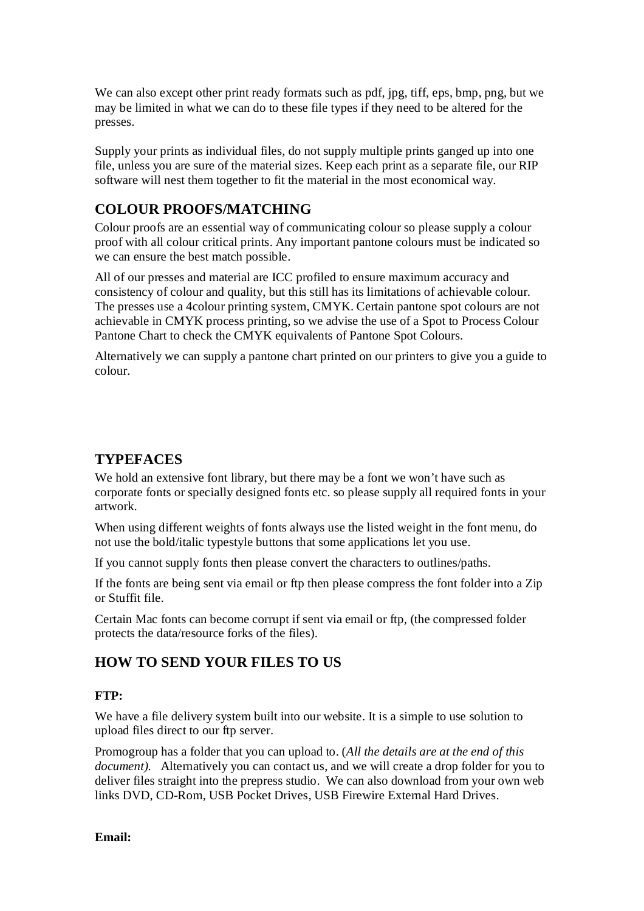We can also except other print ready formats such as pdf, jpg, tiff, eps, bmp, png, but we may be limited in what we can do to these file types if they need to be altered for the presses.

Supply your prints as individual files, do not supply multiple prints ganged up into one file, unless you are sure of the material sizes. Keep each print as a separate file, our RIP software will nest them together to fit the material in the most economical way.

## **COLOUR PROOFS/MATCHING**

Colour proofs are an essential way of communicating colour so please supply a colour proof with all colour critical prints. Any important pantone colours must be indicated so we can ensure the best match possible.

All of our presses and material are ICC profiled to ensure maximum accuracy and consistency of colour and quality, but this still has its limitations of achievable colour. The presses use a 4colour printing system, CMYK. Certain pantone spot colours are not achievable in CMYK process printing, so we advise the use of a Spot to Process Colour Pantone Chart to check the CMYK equivalents of Pantone Spot Colours.

Alternatively we can supply a pantone chart printed on our printers to give you a guide to colour.

### **TYPEFACES**

We hold an extensive font library, but there may be a font we won't have such as corporate fonts or specially designed fonts etc. so please supply all required fonts in your artwork.

When using different weights of fonts always use the listed weight in the font menu, do not use the bold/italic typestyle buttons that some applications let you use.

If you cannot supply fonts then please convert the characters to outlines/paths.

If the fonts are being sent via email or ftp then please compress the font folder into a Zip or Stuffit file.

Certain Mac fonts can become corrupt if sent via email or ftp, (the compressed folder protects the data/resource forks of the files).

## **HOW TO SEND YOUR FILES TO US**

#### **FTP:**

We have a file delivery system built into our website. It is a simple to use solution to upload files direct to our ftp server.

Promogroup has a folder that you can upload to. (*All the details are at the end of this document).* Alternatively you can contact us, and we will create a drop folder for you to deliver files straight into the prepress studio. We can also download from your own web links DVD, CD-Rom, USB Pocket Drives, USB Firewire External Hard Drives.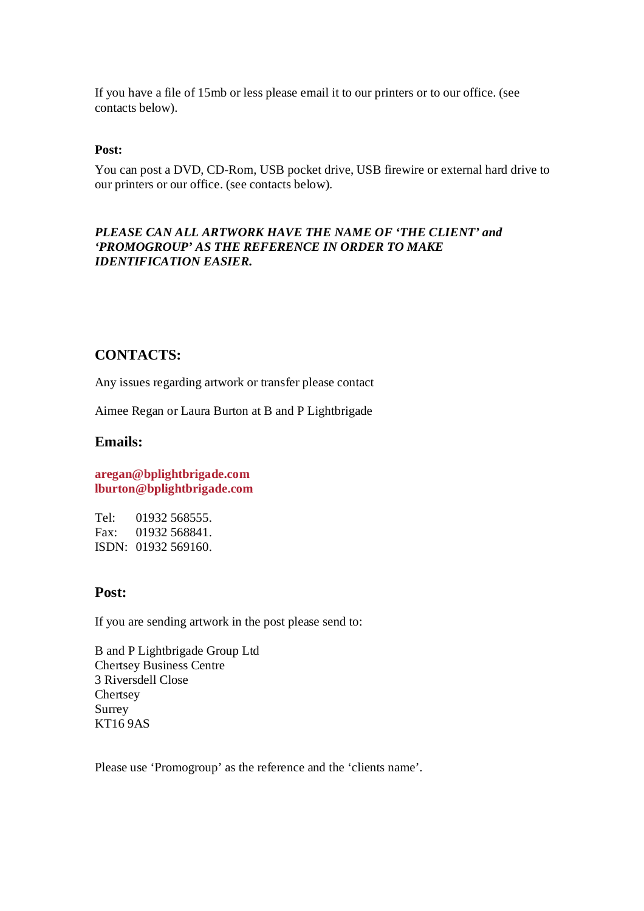If you have a file of 15mb or less please email it to our printers or to our office. (see contacts below).

#### **Post:**

You can post a DVD, CD-Rom, USB pocket drive, USB firewire or external hard drive to our printers or our office. (see contacts below).

#### *PLEASE CAN ALL ARTWORK HAVE THE NAME OF 'THE CLIENT' and 'PROMOGROUP' AS THE REFERENCE IN ORDER TO MAKE IDENTIFICATION EASIER.*

### **CONTACTS:**

Any issues regarding artwork or transfer please contact

Aimee Regan or Laura Burton at B and P Lightbrigade

#### **Emails:**

**aregan@bplightbrigade.com lburton@bplightbrigade.com**

Tel: 01932 568555. Fax: 01932 568841. ISDN: 01932 569160.

### **Post:**

If you are sending artwork in the post please send to:

B and P Lightbrigade Group Ltd Chertsey Business Centre 3 Riversdell Close **Chertsey** Surrey KT16 9AS

Please use 'Promogroup' as the reference and the 'clients name'.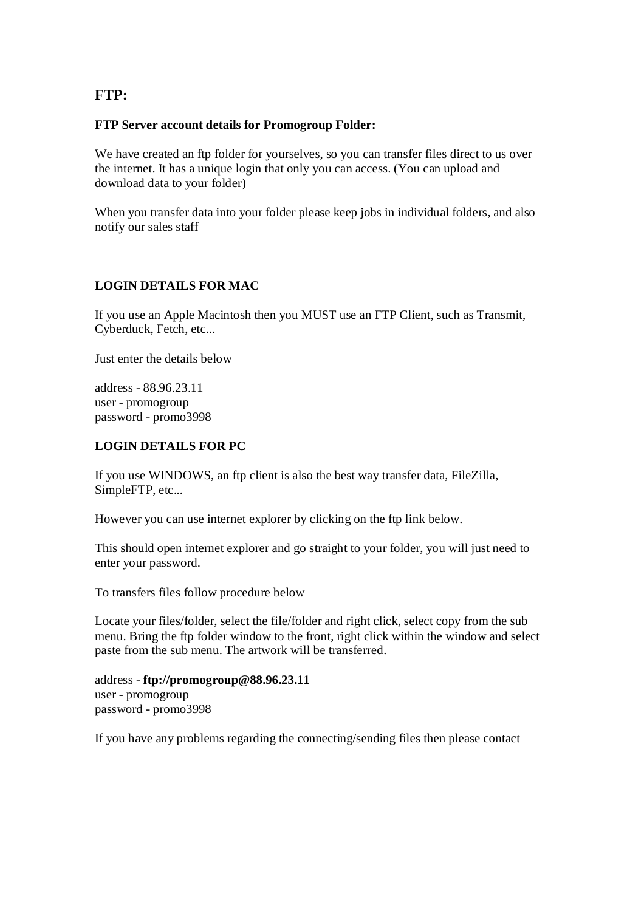### **FTP:**

#### **FTP Server account details for Promogroup Folder:**

We have created an ftp folder for yourselves, so you can transfer files direct to us over the internet. It has a unique login that only you can access. (You can upload and download data to your folder)

When you transfer data into your folder please keep jobs in individual folders, and also notify our sales staff

### **LOGIN DETAILS FOR MAC**

If you use an Apple Macintosh then you MUST use an FTP Client, such as Transmit, Cyberduck, Fetch, etc...

Just enter the details below

address - 88.96.23.11 user - promogroup password - promo3998

### **LOGIN DETAILS FOR PC**

If you use WINDOWS, an ftp client is also the best way transfer data, FileZilla, SimpleFTP, etc...

However you can use internet explorer by clicking on the ftp link below.

This should open internet explorer and go straight to your folder, you will just need to enter your password.

To transfers files follow procedure below

Locate your files/folder, select the file/folder and right click, select copy from the sub menu. Bring the ftp folder window to the front, right click within the window and select paste from the sub menu. The artwork will be transferred.

address - **ftp://promogroup@88.96.23.11** user - promogroup password - promo3998

If you have any problems regarding the connecting/sending files then please contact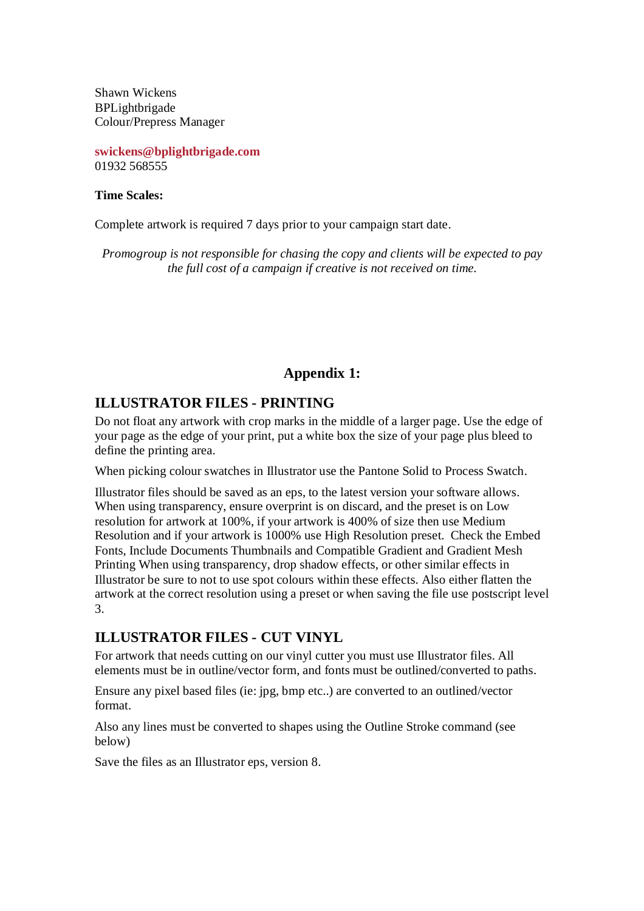Shawn Wickens BPLightbrigade Colour/Prepress Manager

**swickens@bplightbrigade.com** 01932 568555

#### **Time Scales:**

Complete artwork is required 7 days prior to your campaign start date.

*Promogroup is not responsible for chasing the copy and clients will be expected to pay the full cost of a campaign if creative is not received on time.* 

## **Appendix 1:**

### **ILLUSTRATOR FILES - PRINTING**

Do not float any artwork with crop marks in the middle of a larger page. Use the edge of your page as the edge of your print, put a white box the size of your page plus bleed to define the printing area.

When picking colour swatches in Illustrator use the Pantone Solid to Process Swatch.

Illustrator files should be saved as an eps, to the latest version your software allows. When using transparency, ensure overprint is on discard, and the preset is on Low resolution for artwork at 100%, if your artwork is 400% of size then use Medium Resolution and if your artwork is 1000% use High Resolution preset. Check the Embed Fonts, Include Documents Thumbnails and Compatible Gradient and Gradient Mesh Printing When using transparency, drop shadow effects, or other similar effects in Illustrator be sure to not to use spot colours within these effects. Also either flatten the artwork at the correct resolution using a preset or when saving the file use postscript level 3.

## **ILLUSTRATOR FILES - CUT VINYL**

For artwork that needs cutting on our vinyl cutter you must use Illustrator files. All elements must be in outline/vector form, and fonts must be outlined/converted to paths.

Ensure any pixel based files (ie: jpg, bmp etc..) are converted to an outlined/vector format.

Also any lines must be converted to shapes using the Outline Stroke command (see below)

Save the files as an Illustrator eps, version 8.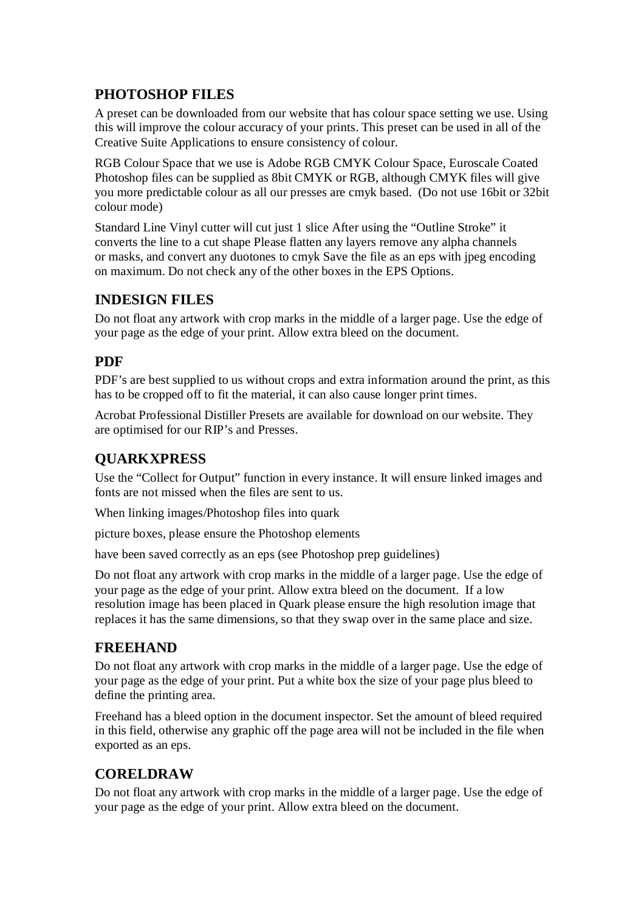## **PHOTOSHOP FILES**

A preset can be downloaded from our website that has colour space setting we use. Using this will improve the colour accuracy of your prints. This preset can be used in all of the Creative Suite Applications to ensure consistency of colour.

RGB Colour Space that we use is Adobe RGB CMYK Colour Space, Euroscale Coated Photoshop files can be supplied as 8bit CMYK or RGB, although CMYK files will give you more predictable colour as all our presses are cmyk based. (Do not use 16bit or 32bit colour mode)

Standard Line Vinyl cutter will cut just 1 slice After using the "Outline Stroke" it converts the line to a cut shape Please flatten any layers remove any alpha channels or masks, and convert any duotones to cmyk Save the file as an eps with jpeg encoding on maximum. Do not check any of the other boxes in the EPS Options.

## **INDESIGN FILES**

Do not float any artwork with crop marks in the middle of a larger page. Use the edge of your page as the edge of your print. Allow extra bleed on the document.

## **PDF**

PDF's are best supplied to us without crops and extra information around the print, as this has to be cropped off to fit the material, it can also cause longer print times.

Acrobat Professional Distiller Presets are available for download on our website. They are optimised for our RIP's and Presses.

## **QUARKXPRESS**

Use the "Collect for Output" function in every instance. It will ensure linked images and fonts are not missed when the files are sent to us.

When linking images/Photoshop files into quark

picture boxes, please ensure the Photoshop elements

have been saved correctly as an eps (see Photoshop prep guidelines)

Do not float any artwork with crop marks in the middle of a larger page. Use the edge of your page as the edge of your print. Allow extra bleed on the document. If a low resolution image has been placed in Quark please ensure the high resolution image that replaces it has the same dimensions, so that they swap over in the same place and size.

### **FREEHAND**

Do not float any artwork with crop marks in the middle of a larger page. Use the edge of your page as the edge of your print. Put a white box the size of your page plus bleed to define the printing area.

Freehand has a bleed option in the document inspector. Set the amount of bleed required in this field, otherwise any graphic off the page area will not be included in the file when exported as an eps.

## **CORELDRAW**

Do not float any artwork with crop marks in the middle of a larger page. Use the edge of your page as the edge of your print. Allow extra bleed on the document.